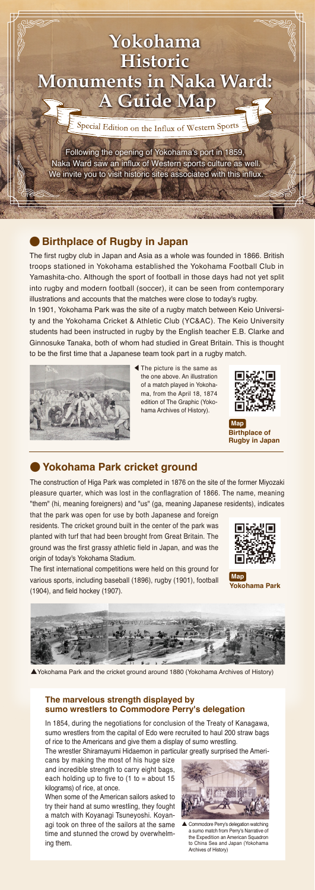

#### **● Birthplace of Rugby in Japan**

The first rugby club in Japan and Asia as a whole was founded in 1866. British troops stationed in Yokohama established the Yokohama Football Club in Yamashita-cho. Although the sport of football in those days had not yet split into rugby and modern football (soccer), it can be seen from contemporary illustrations and accounts that the matches were close to today's rugby.

In 1901, Yokohama Park was the site of a rugby match between Keio University and the Yokohama Cricket & Athletic Club (YC&AC). The Keio University students had been instructed in rugby by the English teacher E.B. Clarke and Ginnosuke Tanaka, both of whom had studied in Great Britain. This is thought to be the first time that a Japanese team took part in a rugby match.



The picture is the same as ◀ the one above. An illustration of a match played in Yokohama, from the April 18, 1874 edition of The Graphic (Yokohama Archives of History).



**Birthplace of Rugby in Japan Map**

#### **● Yokohama Park cricket ground**

The construction of Higa Park was completed in 1876 on the site of the former Miyozaki pleasure quarter, which was lost in the conflagration of 1866. The name, meaning "them" (hi, meaning foreigners) and "us" (ga, meaning Japanese residents), indicates that the park was open for use by both Japanese and foreign

residents. The cricket ground built in the center of the park was planted with turf that had been brought from Great Britain. The ground was the first grassy athletic field in Japan, and was the origin of today's Yokohama Stadium.

The first international competitions were held on this ground for various sports, including baseball (1896), rugby (1901), football (1904), and field hockey (1907).



 **Yokohama Park Map**



▲Yokohama Park and the cricket ground around 1880 (Yokohama Archives of History)

#### **The marvelous strength displayed by sumo wrestlers to Commodore Perry's delegation**

In 1854, during the negotiations for conclusion of the Treaty of Kanagawa, sumo wrestlers from the capital of Edo were recruited to haul 200 straw bags of rice to the Americans and give them a display of sumo wrestling.

The wrestler Shiramayumi Hidaemon in particular greatly surprised the Ameri-

cans by making the most of his huge size and incredible strength to carry eight bags, each holding up to five to (1 to = about 15 kilograms) of rice, at once.

When some of the American sailors asked to try their hand at sumo wrestling, they fought a match with Koyanagi Tsuneyoshi. Koyanagi took on three of the sailors at the same time and stunned the crowd by overwhelming them.



Commodore Perry's delegation watching a sumo match from Perry's Narrative of the Expedition an American Squadron to China Sea and Japan (Yokohama Archives of History) ▲